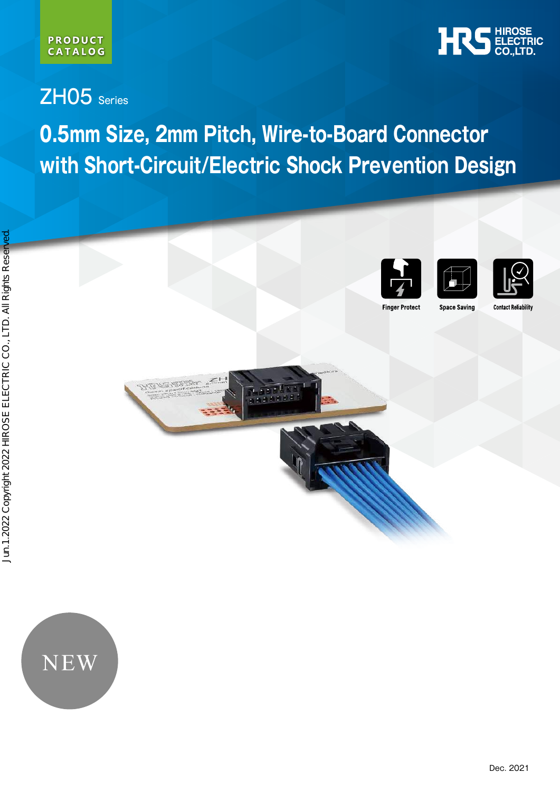

## ZH05 Series

TERMINES

# **0.5mm Size, 2mm Pitch, Wire-to-Board Connector with Short-Circuit/Electric Shock Prevention Design**

**TAL** I





**Space Saving** 

**Finger Protect** 

**Contact Reliability** 

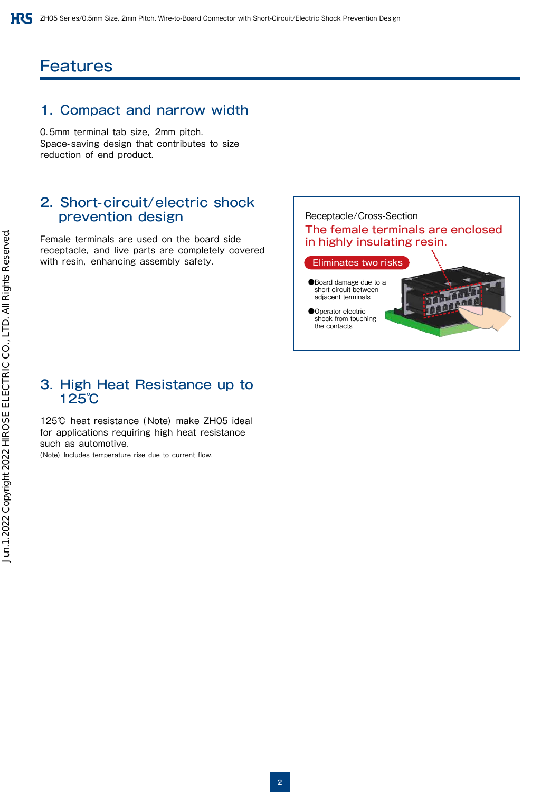## **Features**

#### 1. Compact and narrow width

0.5mm terminal tab size, 2mm pitch. Space-saving design that contributes to size reduction of end product.

#### 2. Short-circuit/electric shock prevention design

Female terminals are used on the board side receptacle, and live parts are completely covered with resin, enhancing assembly safety.



Operator electric shock from touching the contacts

#### 3. High Heat Resistance up to 125℃

125℃ heat resistance (Note) make ZH05 ideal for applications requiring high heat resistance such as automotive.

(Note) Includes temperature rise due to current flow.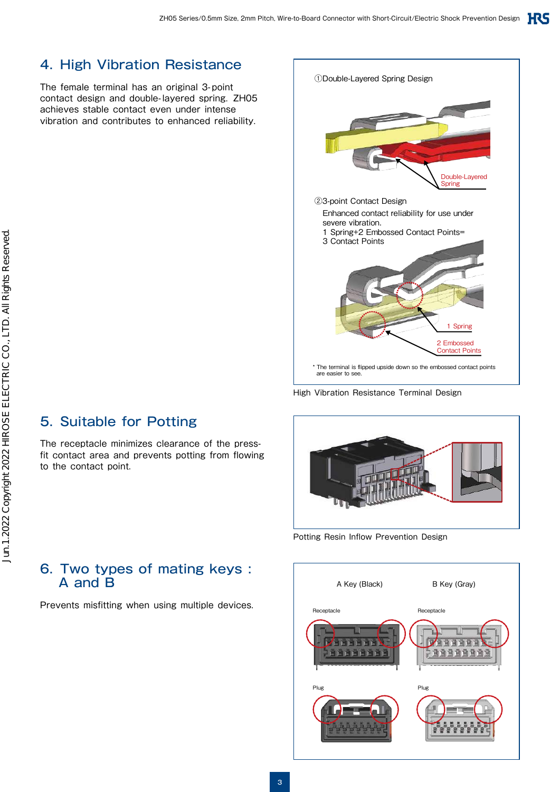①Double-Layered Spring Design

## 4. High Vibration Resistance

The female terminal has an original 3-point contact design and double-layered spring. ZH05 achieves stable contact even under intense vibration and contributes to enhanced reliability.



The receptacle minimizes clearance of the pressfit contact area and prevents potting from flowing to the contact point.

| Double-Layered<br>Spring                                                                                                   |
|----------------------------------------------------------------------------------------------------------------------------|
| 23-point Contact Design                                                                                                    |
| Enhanced contact reliability for use under<br>severe vibration.<br>1 Spring+2 Embossed Contact Points=<br>3 Contact Points |
| 1 Spring<br>2 Embossed<br><b>Contact Points</b>                                                                            |

\* The terminal is flipped upside down so the embossed contact points are easier to see

High Vibration Resistance Terminal Design



Potting Resin Inflow Prevention Design



#### 6. Two types of mating keys : A and B

Prevents misfitting when using multiple devices.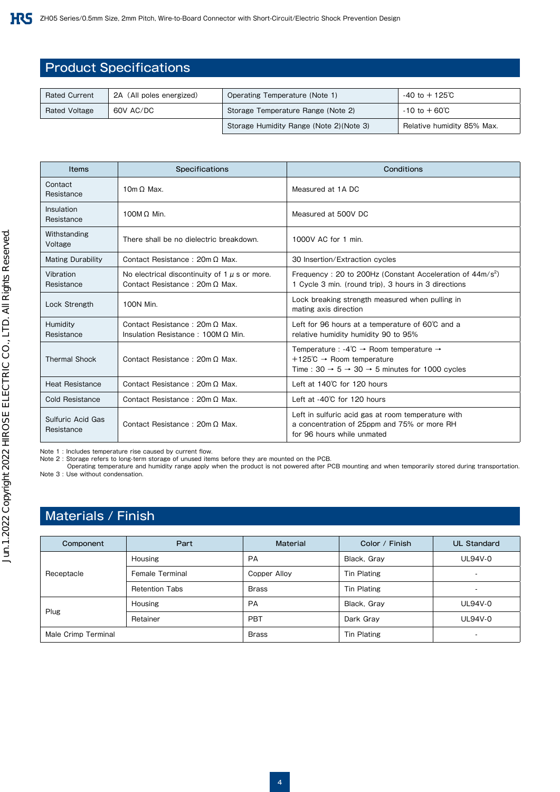#### Product Specifications

| <b>Rated Current</b> | 2A (All poles energized) | Operating Temperature (Note 1)           | $-40$ to $+125^\circ$ C    |
|----------------------|--------------------------|------------------------------------------|----------------------------|
| <b>Rated Voltage</b> | 60V AC/DC                | Storage Temperature Range (Note 2)       | $-10$ to $+60^{\circ}$ C   |
|                      |                          | Storage Humidity Range (Note 2) (Note 3) | Relative humidity 85% Max. |

| <b>Items</b>                    | Specifications                                                                             | Conditions                                                                                                                                                                                          |
|---------------------------------|--------------------------------------------------------------------------------------------|-----------------------------------------------------------------------------------------------------------------------------------------------------------------------------------------------------|
| Contact<br>Resistance           | 10 $m \Omega$ Max.                                                                         | Measured at 1A DC                                                                                                                                                                                   |
| Insulation<br>Resistance        | 100M $\Omega$ Min.                                                                         | Measured at 500V DC                                                                                                                                                                                 |
| Withstanding<br>Voltage         | There shall be no dielectric breakdown.                                                    | 1000V AC for 1 min.                                                                                                                                                                                 |
| <b>Mating Durability</b>        | Contact Resistance: 20m Q Max.                                                             | 30 Insertion/Extraction cycles                                                                                                                                                                      |
| Vibration<br>Resistance         | No electrical discontinuity of $1 \mu$ s or more.<br>Contact Resistance: $20m \Omega$ Max. | Frequency: 20 to 200Hz (Constant Acceleration of $44 \text{m/s}^2$ )<br>1 Cycle 3 min. (round trip), 3 hours in 3 directions                                                                        |
| Lock Strength                   | 100N Min.                                                                                  | Lock breaking strength measured when pulling in<br>mating axis direction                                                                                                                            |
| Humidity<br>Resistance          | Contact Resistance: $20m \Omega$ Max.<br>Insulation Resistance: 100M $\Omega$ Min.         | Left for 96 hours at a temperature of $60^{\circ}$ C and a<br>relative humidity humidity 90 to 95%                                                                                                  |
| <b>Thermal Shock</b>            | Contact Resistance: $20m \Omega$ Max.                                                      | Temperature : -4°C $\rightarrow$ Room temperature $\rightarrow$<br>+125 $\degree$ C $\rightarrow$ Room temperature<br>Time: $30 \rightarrow 5 \rightarrow 30 \rightarrow 5$ minutes for 1000 cycles |
| <b>Heat Resistance</b>          | Contact Resistance: $20m \Omega$ Max.                                                      | Left at 140°C for 120 hours                                                                                                                                                                         |
| Cold Resistance                 | Contact Resistance: $20m \Omega$ Max.                                                      | Left at $-40^{\circ}$ C for 120 hours                                                                                                                                                               |
| Sulfuric Acid Gas<br>Resistance | Contact Resistance: $20m \Omega$ Max.                                                      | Left in sulfuric acid gas at room temperature with<br>a concentration of 25ppm and 75% or more RH<br>for 96 hours while unmated                                                                     |

Note 1 : Includes temperature rise caused by current flow.

Note 2 : Storage refers to long-term storage of unused items before they are mounted on the PCB.

Operating temperature and humidity range apply when the product is not powered after PCB mounting and when temporarily stored during transportation. Note 3 : Use without condensation.

## Materials / Finish

| Component           | Part                  | Material          | Color / Finish     | <b>UL Standard</b>       |
|---------------------|-----------------------|-------------------|--------------------|--------------------------|
|                     | <b>Housing</b>        | PA<br>Black, Gray |                    | <b>UL94V-0</b>           |
| Receptacle          | Female Terminal       | Copper Alloy      | Tin Plating        |                          |
|                     | <b>Retention Tabs</b> | <b>Brass</b>      | <b>Tin Plating</b> | $\overline{a}$           |
|                     | <b>Housing</b>        | PA                | Black, Gray        |                          |
| Plug                | Retainer              | PBT               | Dark Gray          | <b>UL94V-0</b>           |
| Male Crimp Terminal |                       | <b>Brass</b>      | <b>Tin Plating</b> | $\overline{\phantom{a}}$ |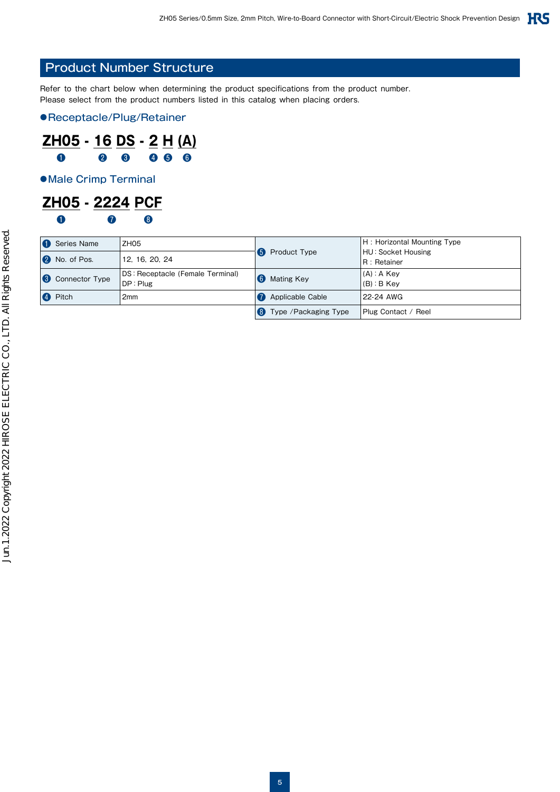#### Product Number Structure

Refer to the chart below when determining the product specifications from the product number. Please select from the product numbers listed in this catalog when placing orders.

●Receptacle/Plug/Retainer

#### **ZH05 - 16 DS - 2 H (A)** ❶ ❷ ❸ ❹ ❺ ❻

●Male Crimp Terminal

#### **ZH05 - 2224 PCF**  $\mathbf 0$   $\mathbf 0$   $\mathbf 0$

| Series Name                          | ZH <sub>05</sub>                             |    |                         | H: Horizontal Mounting Type         |
|--------------------------------------|----------------------------------------------|----|-------------------------|-------------------------------------|
| No. of Pos.<br>$\overline{2}$        | 12. 16. 20. 24                               |    | <b>5</b> Product Type   | HU: Socket Housing<br>IR : Retainer |
| Connector Type<br>$\left( 3 \right)$ | DS: Receptacle (Female Terminal)<br>DP: Plug | 6) | <b>Mating Key</b>       | $(A)$ : A Key<br>$(B)$ : B Kev      |
| Pitch<br>$\left( 4\right)$           | 2mm                                          |    | <b>Applicable Cable</b> | 22-24 AWG                           |
|                                      |                                              |    | Type / Packaging Type   | Plug Contact / Reel                 |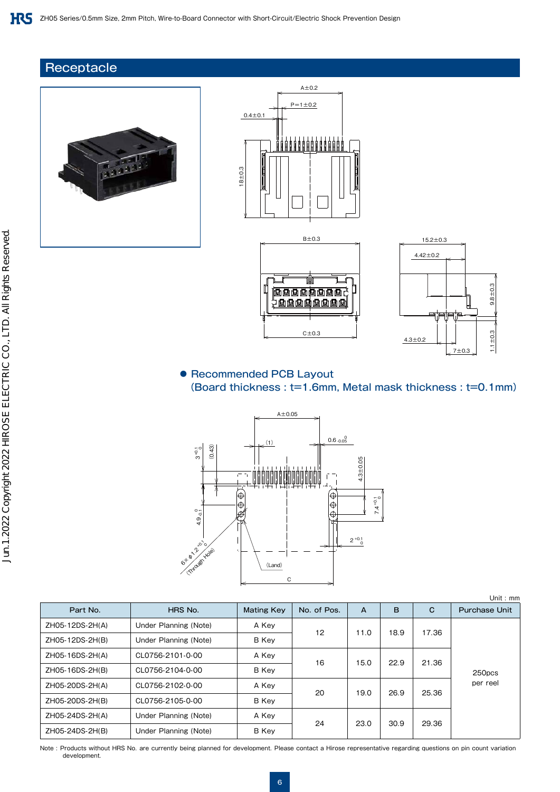#### **Receptacle**









Unit : mm

#### ● Recommended PCB Layout (Board thickness : t=1.6mm, Metal mask thickness : t=0.1mm)



| Part No.        | HRS No.<br><b>Mating Key</b> |             | No. of Pos. | A    | B    | C     | <b>Purchase Unit</b> |  |  |  |
|-----------------|------------------------------|-------------|-------------|------|------|-------|----------------------|--|--|--|
| ZH05-12DS-2H(A) | Under Planning (Note)        | A Key<br>12 |             | 11.0 | 18.9 | 17.36 |                      |  |  |  |
| ZH05-12DS-2H(B) | Under Planning (Note)        | B Key       |             |      |      |       |                      |  |  |  |
| ZH05-16DS-2H(A) | CL0756-2101-0-00             | A Key       | 16          | 15.0 | 22.9 | 21.36 |                      |  |  |  |
| ZH05-16DS-2H(B) | CL0756-2104-0-00             | B Key       |             |      |      |       | 250pcs               |  |  |  |
| ZH05-20DS-2H(A) | CL0756-2102-0-00             | A Key       | 20          | 19.0 | 26.9 | 25.36 | per reel             |  |  |  |
| ZH05-20DS-2H(B) | CL0756-2105-0-00             | B Key       |             |      |      |       |                      |  |  |  |
| ZH05-24DS-2H(A) | Under Planning (Note)        | A Key       | 24          |      |      |       |                      |  |  |  |
| ZH05-24DS-2H(B) | Under Planning (Note)        | B Key       |             | 23.0 | 30.9 | 29.36 |                      |  |  |  |

Note : Products without HRS No. are currently being planned for development. Please contact a Hirose representative regarding questions on pin count variation development.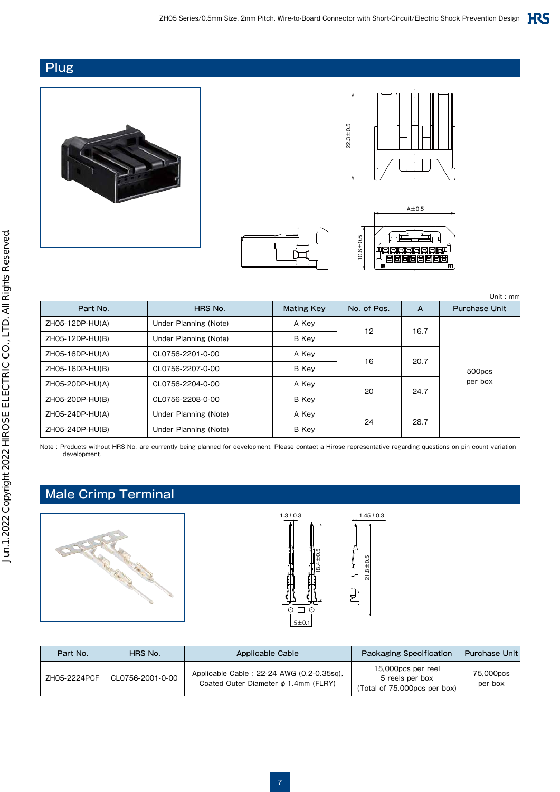#### **Plug**









Part No. **HRS No.** HRS No. Mating Key No. of Pos. A Purchase Unit ZH05-12DP-HU(A) | Under Planning (Note) | A Key 12 16.7 500pcs per box ZH05-12DP-HU(B) Under Planning (Note) B Key ZH05-16DP-HU(A) CL0756-2201-0-00 A Key 16 20.7 ZH05-16DP-HU(B) CL0756-2207-0-00 B Key ZH05-20DP-HU(A) CL0756-2204-0-00 A Key 20 24.7 ZH05-20DP-HU(B) CL0756-2208-0-00 B Key ZH05-24DP-HU(A) Under Planning (Note) A Key 24 28.7 ZH05-24DP-HU(B) | Under Planning (Note) | B Key Unit : mm

Note : Products without HRS No. are currently being planned for development. Please contact a Hirose representative regarding questions on pin count variation development.

## Male Crimp Terminal





| Part No.     | HRS No.          | Applicable Cable                                                                       | <b>Packaging Specification</b>                                        | <b>Purchase Unit</b> |
|--------------|------------------|----------------------------------------------------------------------------------------|-----------------------------------------------------------------------|----------------------|
| ZH05-2224PCF | CL0756-2001-0-00 | Applicable Cable: 22-24 AWG (0.2-0.35sq),<br>Coated Outer Diameter $\phi$ 1.4mm (FLRY) | 15,000pcs per reel<br>5 reels per box<br>(Total of 75,000pcs per box) | 75,000pcs<br>per box |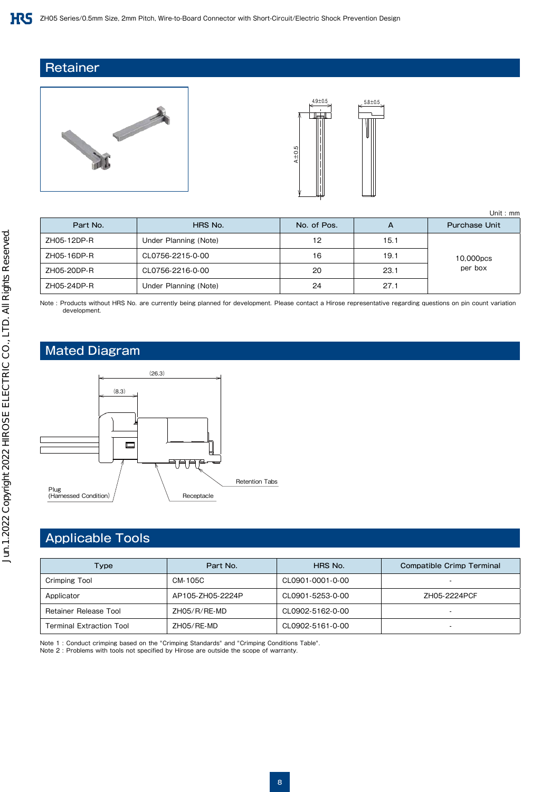#### **Retainer**





|             |                       |             |      | Unit: $mm$           |
|-------------|-----------------------|-------------|------|----------------------|
| Part No.    | HRS No.               | No. of Pos. | A    | <b>Purchase Unit</b> |
| ZH05-12DP-R | Under Planning (Note) | 12          | 15.1 |                      |
| ZH05-16DP-R | CL0756-2215-0-00      | 16          | 19.1 | 10,000pcs            |
| ZH05-20DP-R | CL0756-2216-0-00      | 20          | 23.1 | per box              |
| ZH05-24DP-R | Under Planning (Note) | 24          | 27.1 |                      |

Note : Products without HRS No. are currently being planned for development. Please contact a Hirose representative regarding questions on pin count variation development.

#### Mated Diagram



#### Applicable Tools

| Type                            | Part No.         | HRS No.          | Compatible Crimp Terminal |
|---------------------------------|------------------|------------------|---------------------------|
| Crimping Tool                   | CM-105C          | CL0901-0001-0-00 |                           |
| Applicator                      | AP105-ZH05-2224P | CL0901-5253-0-00 | ZH05-2224PCF              |
| Retainer Release Tool           | ZH05/R/RE-MD     | CL0902-5162-0-00 |                           |
| <b>Terminal Extraction Tool</b> | ZH05/RE-MD       | CL0902-5161-0-00 | -                         |

Note 1 : Conduct crimping based on the "Crimping Standards" and "Crimping Conditions Table".

Note 2 : Problems with tools not specified by Hirose are outside the scope of warranty.